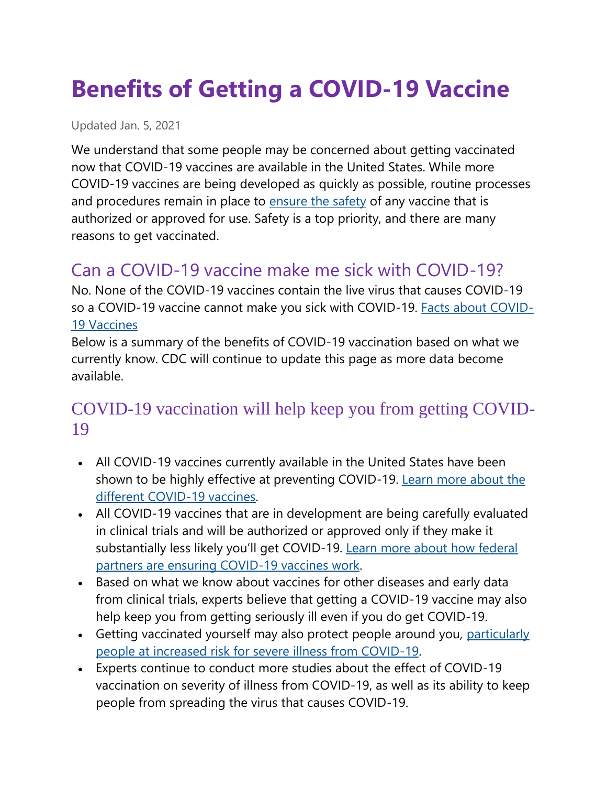# **Benefits of Getting a COVID-19 Vaccine**

Updated Jan. 5, 2021

We understand that some people may be concerned about getting vaccinated now that COVID-19 vaccines are available in the United States. While more COVID-19 vaccines are being developed as quickly as possible, routine processes and procedures remain in place to [ensure the safety](https://www.cdc.gov/coronavirus/2019-ncov/vaccines/safety.html) of any vaccine that is authorized or approved for use. Safety is a top priority, and there are many reasons to get vaccinated.

## Can a COVID-19 vaccine make me sick with COVID-19?

No. None of the COVID-19 vaccines contain the live virus that causes COVID-19 so a COVID-19 vaccine cannot make you sick with COVID-19. [Facts about COVID-](https://www.cdc.gov/coronavirus/2019-ncov/vaccines/facts.html)[19 Vaccines](https://www.cdc.gov/coronavirus/2019-ncov/vaccines/facts.html)

Below is a summary of the benefits of COVID-19 vaccination based on what we currently know. CDC will continue to update this page as more data become available.

#### COVID-19 vaccination will help keep you from getting COVID-19

- All COVID-19 vaccines currently available in the United States have been shown to be highly effective at preventing COVID-19. [Learn more about the](https://www.cdc.gov/coronavirus/2019-ncov/vaccines/different-vaccines.html)  [different COVID-19 vaccines.](https://www.cdc.gov/coronavirus/2019-ncov/vaccines/different-vaccines.html)
- All COVID-19 vaccines that are in development are being carefully evaluated in clinical trials and will be authorized or approved only if they make it substantially less likely you'll get COVID-19. [Learn more about how federal](https://www.cdc.gov/coronavirus/2019-ncov/vaccines/effectiveness.html)  [partners are ensuring COVID-19 vaccines work.](https://www.cdc.gov/coronavirus/2019-ncov/vaccines/effectiveness.html)
- Based on what we know about vaccines for other diseases and early data from clinical trials, experts believe that getting a COVID-19 vaccine may also help keep you from getting seriously ill even if you do get COVID-19.
- Getting vaccinated yourself may also protect people around you, particularly [people at increased risk for severe illness from COVID-19.](https://www.cdc.gov/coronavirus/2019-ncov/need-extra-precautions/index.html)
- Experts continue to conduct more studies about the effect of COVID-19 vaccination on severity of illness from COVID-19, as well as its ability to keep people from spreading the virus that causes COVID-19.